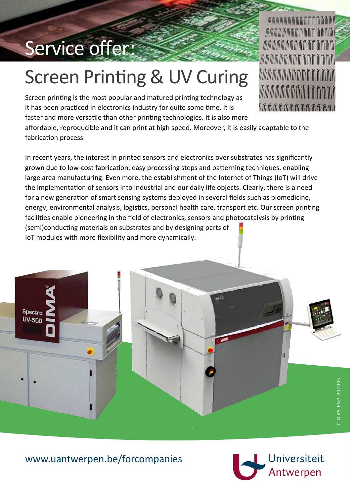## Service offer:

# Screen Printing & UV Curing

Screen printing is the most popular and matured printing technology as it has been practiced in electronics industry for quite some time. It is faster and more versatile than other printing technologies. It is also more

affordable, reproducible and it can print at high speed. Moreover, it is easily adaptable to the fabrication process.

In recent years, the interest in printed sensors and electronics over substrates has significantly grown due to low-cost fabrication, easy processing steps and patterning techniques, enabling large area manufacturing. Even more, the establishment of the Internet of Things (IoT) will drive the implementation of sensors into industrial and our daily life objects. Clearly, there is a need for a new generation of smart sensing systems deployed in several fields such as biomedicine, energy, environmental analysis, logistics, personal health care, transport etc. Our screen printing facilities enable pioneering in the field of electronics, sensors and photocatalysis by printing (semi)conducting materials on substrates and by designing parts of IoT modules with more flexibility and more dynamically.





*MANAMANAMANAMANA <i>MANAMANA* **ARADA ARADA ARADA A CADA A CADA A CADA A CADA A CADA A CADA A CADA A CADA A CADA A CADA A CADA A CAD** *<i>MANAMANA***MANAMAN** *MANANAN* ANAN ANAN *TAAAAAAAAAAAAAA* 

*i î î î î î î î î î î î î î î î î î î* î î î